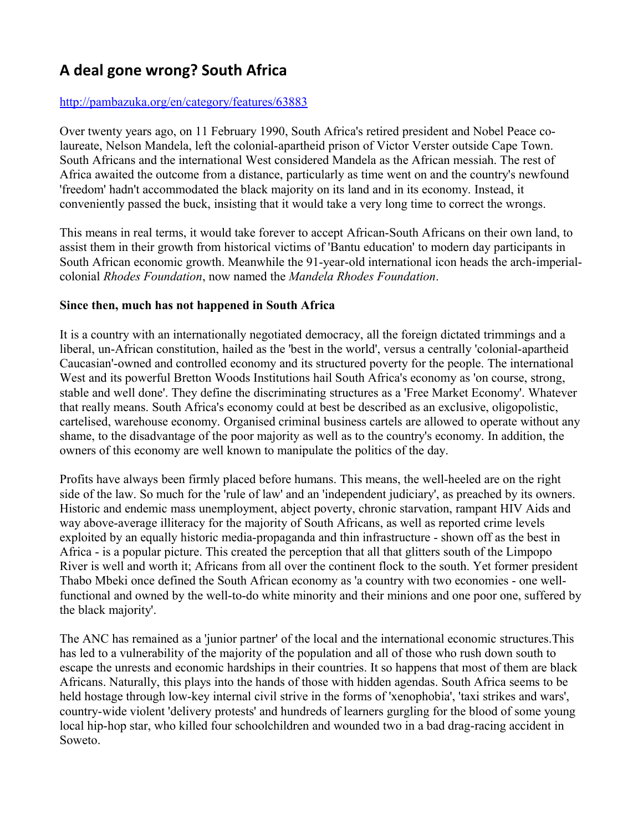# **A deal gone wrong? South Africa**

## <http://pambazuka.org/en/category/features/63883>

Over twenty years ago, on 11 February 1990, South Africa's retired president and Nobel Peace colaureate, Nelson Mandela, left the colonial-apartheid prison of Victor Verster outside Cape Town. South Africans and the international West considered Mandela as the African messiah. The rest of Africa awaited the outcome from a distance, particularly as time went on and the country's newfound 'freedom' hadn't accommodated the black majority on its land and in its economy. Instead, it conveniently passed the buck, insisting that it would take a very long time to correct the wrongs.

This means in real terms, it would take forever to accept African-South Africans on their own land, to assist them in their growth from historical victims of 'Bantu education' to modern day participants in South African economic growth. Meanwhile the 91-year-old international icon heads the arch-imperialcolonial *Rhodes Foundation*, now named the *Mandela Rhodes Foundation*.

### **Since then, much has not happened in South Africa**

It is a country with an internationally negotiated democracy, all the foreign dictated trimmings and a liberal, un-African constitution, hailed as the 'best in the world', versus a centrally 'colonial-apartheid Caucasian'-owned and controlled economy and its structured poverty for the people. The international West and its powerful Bretton Woods Institutions hail South Africa's economy as 'on course, strong, stable and well done'. They define the discriminating structures as a 'Free Market Economy'. Whatever that really means. South Africa's economy could at best be described as an exclusive, oligopolistic, cartelised, warehouse economy. Organised criminal business cartels are allowed to operate without any shame, to the disadvantage of the poor majority as well as to the country's economy. In addition, the owners of this economy are well known to manipulate the politics of the day.

Profits have always been firmly placed before humans. This means, the well-heeled are on the right side of the law. So much for the 'rule of law' and an 'independent judiciary', as preached by its owners. Historic and endemic mass unemployment, abject poverty, chronic starvation, rampant HIV Aids and way above-average illiteracy for the majority of South Africans, as well as reported crime levels exploited by an equally historic media-propaganda and thin infrastructure - shown off as the best in Africa - is a popular picture. This created the perception that all that glitters south of the Limpopo River is well and worth it; Africans from all over the continent flock to the south. Yet former president Thabo Mbeki once defined the South African economy as 'a country with two economies - one wellfunctional and owned by the well-to-do white minority and their minions and one poor one, suffered by the black majority'.

The ANC has remained as a 'junior partner' of the local and the international economic structures.This has led to a vulnerability of the majority of the population and all of those who rush down south to escape the unrests and economic hardships in their countries. It so happens that most of them are black Africans. Naturally, this plays into the hands of those with hidden agendas. South Africa seems to be held hostage through low-key internal civil strive in the forms of 'xenophobia', 'taxi strikes and wars', country-wide violent 'delivery protests' and hundreds of learners gurgling for the blood of some young local hip-hop star, who killed four schoolchildren and wounded two in a bad drag-racing accident in Soweto.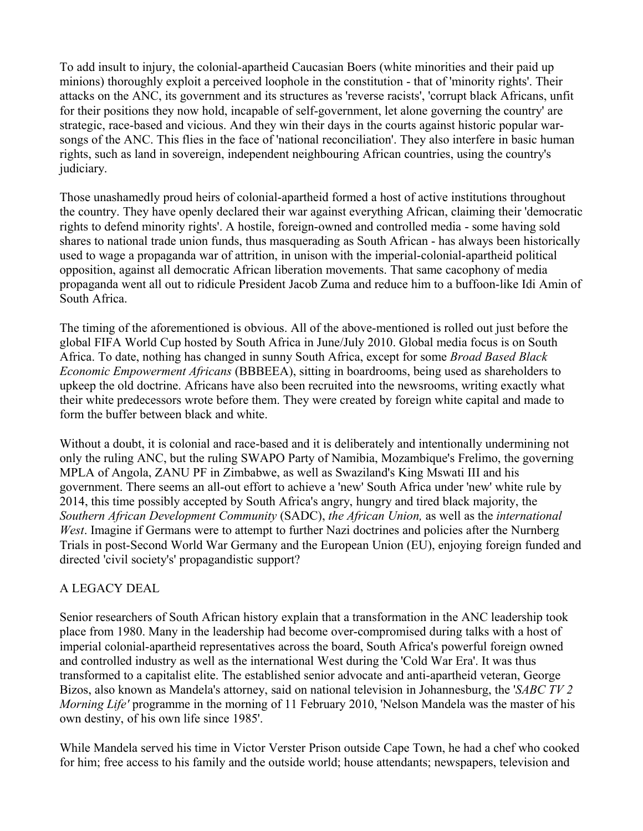To add insult to injury, the colonial-apartheid Caucasian Boers (white minorities and their paid up minions) thoroughly exploit a perceived loophole in the constitution - that of 'minority rights'. Their attacks on the ANC, its government and its structures as 'reverse racists', 'corrupt black Africans, unfit for their positions they now hold, incapable of self-government, let alone governing the country' are strategic, race-based and vicious. And they win their days in the courts against historic popular warsongs of the ANC. This flies in the face of 'national reconciliation'. They also interfere in basic human rights, such as land in sovereign, independent neighbouring African countries, using the country's judiciary.

Those unashamedly proud heirs of colonial-apartheid formed a host of active institutions throughout the country. They have openly declared their war against everything African, claiming their 'democratic rights to defend minority rights'. A hostile, foreign-owned and controlled media - some having sold shares to national trade union funds, thus masquerading as South African - has always been historically used to wage a propaganda war of attrition, in unison with the imperial-colonial-apartheid political opposition, against all democratic African liberation movements. That same cacophony of media propaganda went all out to ridicule President Jacob Zuma and reduce him to a buffoon-like Idi Amin of South Africa.

The timing of the aforementioned is obvious. All of the above-mentioned is rolled out just before the global FIFA World Cup hosted by South Africa in June/July 2010. Global media focus is on South Africa. To date, nothing has changed in sunny South Africa, except for some *Broad Based Black Economic Empowerment Africans* (BBBEEA), sitting in boardrooms, being used as shareholders to upkeep the old doctrine. Africans have also been recruited into the newsrooms, writing exactly what their white predecessors wrote before them. They were created by foreign white capital and made to form the buffer between black and white.

Without a doubt, it is colonial and race-based and it is deliberately and intentionally undermining not only the ruling ANC, but the ruling SWAPO Party of Namibia, Mozambique's Frelimo, the governing MPLA of Angola, ZANU PF in Zimbabwe, as well as Swaziland's King Mswati III and his government. There seems an all-out effort to achieve a 'new' South Africa under 'new' white rule by 2014, this time possibly accepted by South Africa's angry, hungry and tired black majority, the *Southern African Development Community* (SADC), *the African Union,* as well as the *international West*. Imagine if Germans were to attempt to further Nazi doctrines and policies after the Nurnberg Trials in post-Second World War Germany and the European Union (EU), enjoying foreign funded and directed 'civil society's' propagandistic support?

### A LEGACY DEAL

Senior researchers of South African history explain that a transformation in the ANC leadership took place from 1980. Many in the leadership had become over-compromised during talks with a host of imperial colonial-apartheid representatives across the board, South Africa's powerful foreign owned and controlled industry as well as the international West during the 'Cold War Era'. It was thus transformed to a capitalist elite. The established senior advocate and anti-apartheid veteran, George Bizos, also known as Mandela's attorney, said on national television in Johannesburg, the '*SABC TV 2 Morning Life'* programme in the morning of 11 February 2010, 'Nelson Mandela was the master of his own destiny, of his own life since 1985'.

While Mandela served his time in Victor Verster Prison outside Cape Town, he had a chef who cooked for him; free access to his family and the outside world; house attendants; newspapers, television and